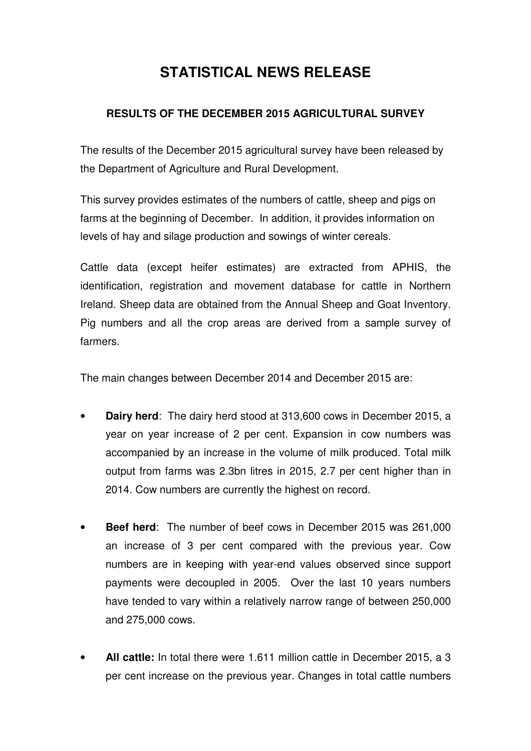# **STATISTICAL NEWS RELEASE**

## **RESULTS OF THE DECEMBER 2015 AGRICULTURAL SURVEY**

 The results of the December 2015 agricultural survey have been released by the Department of Agriculture and Rural Development.

 This survey provides estimates of the numbers of cattle, sheep and pigs on farms at the beginning of December. In addition, it provides information on levels of hay and silage production and sowings of winter cereals.

 Cattle data (except heifer estimates) are extracted from APHIS, the identification, registration and movement database for cattle in Northern Ireland. Sheep data are obtained from the Annual Sheep and Goat Inventory. Pig numbers and all the crop areas are derived from a sample survey of farmers.

The main changes between December 2014 and December 2015 are:

- • **Dairy herd**: The dairy herd stood at 313,600 cows in December 2015, a year on year increase of 2 per cent. Expansion in cow numbers was accompanied by an increase in the volume of milk produced. Total milk output from farms was 2.3bn litres in 2015, 2.7 per cent higher than in 2014. Cow numbers are currently the highest on record.
- • **Beef herd**: The number of beef cows in December 2015 was 261,000 an increase of 3 per cent compared with the previous year. Cow numbers are in keeping with year-end values observed since support payments were decoupled in 2005. Over the last 10 years numbers have tended to vary within a relatively narrow range of between 250,000 and 275,000 cows.
- • **All cattle:** In total there were 1.611 million cattle in December 2015, a 3 per cent increase on the previous year. Changes in total cattle numbers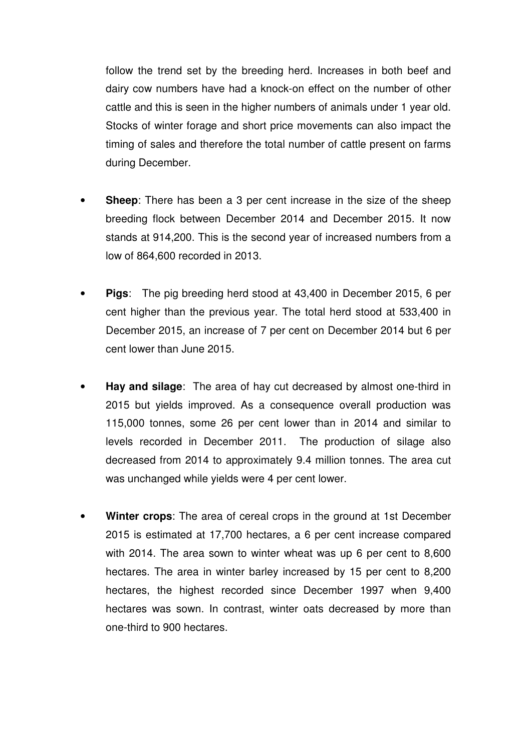follow the trend set by the breeding herd. Increases in both beef and dairy cow numbers have had a knock-on effect on the number of other cattle and this is seen in the higher numbers of animals under 1 year old. Stocks of winter forage and short price movements can also impact the timing of sales and therefore the total number of cattle present on farms during December.

- breeding flock between December 2014 and December 2015. It now stands at 914,200. This is the second year of increased numbers from a low of 864,600 recorded in 2013. **Sheep**: There has been a 3 per cent increase in the size of the sheep
- cent higher than the previous year. The total herd stood at 533,400 in December 2015, an increase of 7 per cent on December 2014 but 6 per cent lower than June 2015. • **Pigs**: The pig breeding herd stood at 43,400 in December 2015, 6 per
- **Hay and silage**: The area of hay cut decreased by almost one-third in 2015 but yields improved. As a consequence overall production was 115,000 tonnes, some 26 per cent lower than in 2014 and similar to levels recorded in December 2011. The production of silage also decreased from 2014 to approximately 9.4 million tonnes. The area cut was unchanged while yields were 4 per cent lower.
- • **Winter crops**: The area of cereal crops in the ground at 1st December 2015 is estimated at 17,700 hectares, a 6 per cent increase compared with 2014. The area sown to winter wheat was up 6 per cent to 8,600 hectares. The area in winter barley increased by 15 per cent to 8,200 hectares, the highest recorded since December 1997 when 9,400 hectares was sown. In contrast, winter oats decreased by more than one-third to 900 hectares.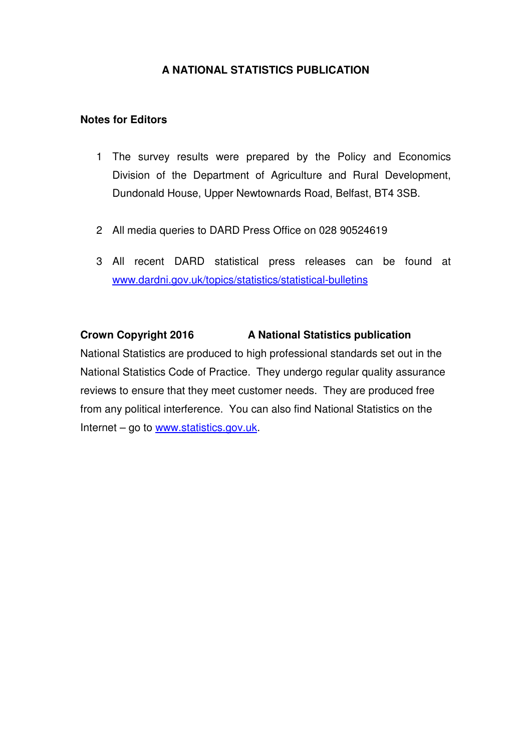## **A NATIONAL STATISTICS PUBLICATION**

## **Notes for Editors**

- 1 The survey results were prepared by the Policy and Economics Division of the Department of Agriculture and Rural Development, Dundonald House, Upper Newtownards Road, Belfast, BT4 3SB.
- 2 All media queries to DARD Press Office on 028 90524619
- 3 All recent DARD statistical press releases can be found at www.dardni.gov.uk/topics/statistics/statistical-bulletins

## **Crown Copyright 2016 A National Statistics publication**

 National Statistics are produced to high professional standards set out in the National Statistics Code of Practice. They undergo regular quality assurance reviews to ensure that they meet customer needs. They are produced free from any political interference. You can also find National Statistics on the Internet – go to www.statistics.gov.uk.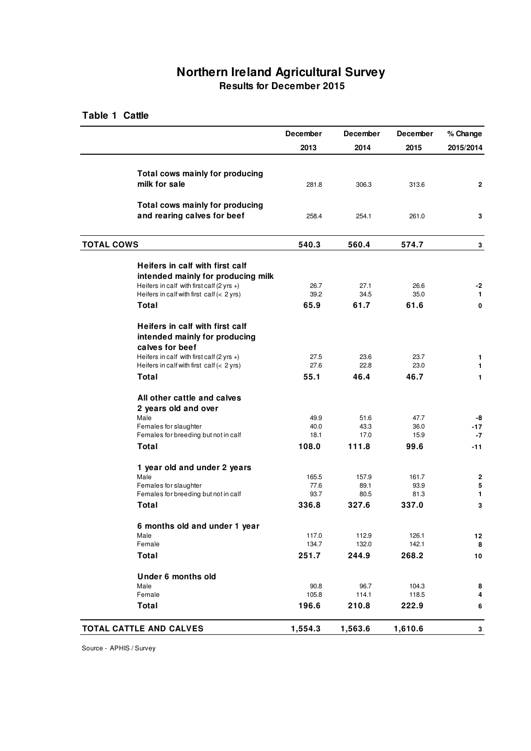## **Northern Ireland Agricultural Survey Results for December 2015**

#### **Table 1 Cattle**

|                                                                                           | December     | December     | December     | % Change          |
|-------------------------------------------------------------------------------------------|--------------|--------------|--------------|-------------------|
|                                                                                           | 2013         | 2014         | 2015         | 2015/2014         |
|                                                                                           |              |              |              |                   |
| Total cows mainly for producing                                                           |              |              |              |                   |
| milk for sale                                                                             | 281.8        | 306.3        | 313.6        | 2                 |
|                                                                                           |              |              |              |                   |
| Total cows mainly for producing                                                           |              |              |              |                   |
| and rearing calves for beef                                                               | 258.4        | 254.1        | 261.0        | 3                 |
| <b>TOTAL COWS</b>                                                                         | 540.3        | 560.4        | 574.7        | 3                 |
|                                                                                           |              |              |              |                   |
| Heifers in calf with first calf                                                           |              |              |              |                   |
| intended mainly for producing milk<br>Heifers in calf with first calf $(2 \text{ yrs +})$ | 26.7         | 27.1         | 26.6         |                   |
| Heifers in calf with first calf $(< 2$ yrs)                                               | 39.2         | 34.5         | 35.0         | -2<br>1           |
| Total                                                                                     | 65.9         | 61.7         | 61.6         | 0                 |
|                                                                                           |              |              |              |                   |
| Heifers in calf with first calf                                                           |              |              |              |                   |
| intended mainly for producing                                                             |              |              |              |                   |
| calves for beef                                                                           |              |              |              |                   |
| Heifers in calf with first calf (2 yrs +)<br>Heifers in calf with first calf $(< 2$ yrs)  | 27.5<br>27.6 | 23.6<br>22.8 | 23.7<br>23.0 | 1<br>$\mathbf{1}$ |
| <b>Total</b>                                                                              | 55.1         | 46.4         | 46.7         | 1                 |
| All other cattle and calves                                                               |              |              |              |                   |
|                                                                                           |              |              |              |                   |
| 2 years old and over<br>Male                                                              |              |              |              |                   |
| Females for slaughter                                                                     | 49.9<br>40.0 | 51.6<br>43.3 | 47.7<br>36.0 | -8<br>-17         |
| Females for breeding but not in calf                                                      | 18.1         | 17.0         | 15.9         | $-7$              |
| <b>Total</b>                                                                              | 108.0        | 111.8        | 99.6         | -11               |
| 1 year old and under 2 years                                                              |              |              |              |                   |
| Male                                                                                      | 165.5        | 157.9        | 161.7        | $\boldsymbol{2}$  |
| Females for slaughter                                                                     | 77.6         | 89.1         | 93.9         | 5                 |
| Females for breeding but not in calf                                                      | 93.7         | 80.5         | 81.3         | $\mathbf{1}$      |
| Total                                                                                     | 336.8        | 327.6        | 337.0        | 3                 |
| 6 months old and under 1 year                                                             |              |              |              |                   |
| Male                                                                                      | 117.0        | 112.9        | 126.1        | 12                |
| Female                                                                                    | 134.7        | 132.0        | 142.1        | 8                 |
| <b>Total</b>                                                                              | 251.7        | 244.9        | 268.2        | 10                |
| Under 6 months old                                                                        |              |              |              |                   |
| Male                                                                                      | 90.8         | 96.7         | 104.3        | 8                 |
| Female                                                                                    | 105.8        | 114.1        | 118.5        | 4                 |
| <b>Total</b>                                                                              | 196.6        | 210.8        | 222.9        | 6                 |
| <b>TOTAL CATTLE AND CALVES</b>                                                            | 1,554.3      | 1,563.6      | 1,610.6      | 3                 |

Source - APHIS / Survey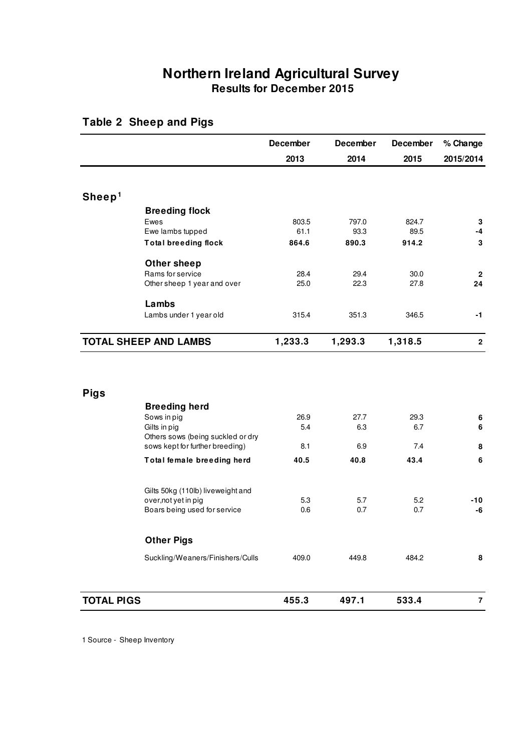## **Northern Ireland Agricultural Survey Results for December 2015**

|                                   | <b>December</b> | <b>December</b> | <b>December</b> | % Change     |
|-----------------------------------|-----------------|-----------------|-----------------|--------------|
|                                   | 2013            | 2014            | 2015            | 2015/2014    |
|                                   |                 |                 |                 |              |
| Sheep <sup>1</sup>                |                 |                 |                 |              |
| <b>Breeding flock</b>             |                 |                 |                 |              |
| Ewes                              | 803.5           | 797.0           | 824.7           | 3            |
| Ewe lambs tupped                  | 61.1            | 93.3            | 89.5            | $-4$         |
| <b>Total breeding flock</b>       | 864.6           | 890.3           | 914.2           | 3            |
| <b>Other sheep</b>                |                 |                 |                 |              |
| Rams for service                  | 28.4            | 29.4            | 30.0            | $\mathbf{2}$ |
| Other sheep 1 year and over       | 25.0            | 22.3            | 27.8            | 24           |
| Lambs                             |                 |                 |                 |              |
| Lambs under 1 year old            | 315.4           | 351.3           | 346.5           | $-1$         |
| <b>TOTAL SHEEP AND LAMBS</b>      | 1,233.3         | 1,293.3         | 1,318.5         | $\mathbf{2}$ |
|                                   |                 |                 |                 |              |
| <b>Pigs</b>                       |                 |                 |                 |              |
| <b>Breeding herd</b>              |                 |                 |                 |              |
| Sows in pig<br>Gilts in pig       | 26.9<br>5.4     | 27.7<br>6.3     | 29.3<br>6.7     | 6<br>6       |
| Others sows (being suckled or dry |                 |                 |                 |              |
| sows kept for further breeding)   | 8.1             | 6.9             | 7.4             | 8            |
| Total female breeding herd        | 40.5            | 40.8            | 43.4            | 6            |
|                                   |                 |                 |                 |              |
| Gilts 50kg (110lb) liveweight and |                 |                 |                 |              |
| over, not yet in pig              | 5.3             | 5.7             | 5.2             | -10          |
| Boars being used for service      | 0.6             | 0.7             | 0.7             | -6           |
| <b>Other Pigs</b>                 |                 |                 |                 |              |
| Suckling/Weaners/Finishers/Culls  | 409.0           | 449.8           | 484.2           | 8            |
|                                   |                 |                 |                 |              |

### **Table 2 Sheep and Pigs**

**TOTAL PIGS 455.3 497.1 533.4** 

**7** 

1 Source - Sheep Inventory